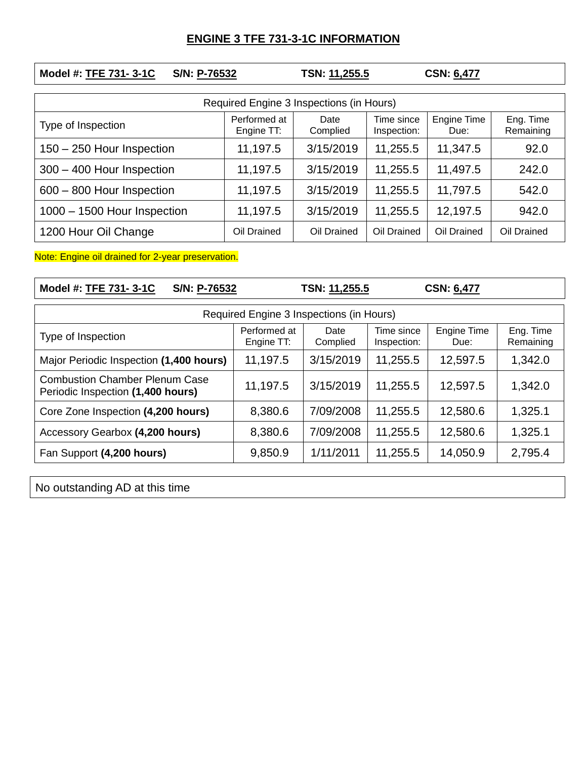## **ENGINE 3 TFE 731-3-1C INFORMATION**

| Model #: TFE 731-3-1C<br>S/N: P-76532    |                            | TSN: 11,255.5    |                           | <b>CSN: 6,477</b>          |                        |  |  |  |  |
|------------------------------------------|----------------------------|------------------|---------------------------|----------------------------|------------------------|--|--|--|--|
| Required Engine 3 Inspections (in Hours) |                            |                  |                           |                            |                        |  |  |  |  |
| Type of Inspection                       | Performed at<br>Engine TT: | Date<br>Complied | Time since<br>Inspection: | <b>Engine Time</b><br>Due: | Eng. Time<br>Remaining |  |  |  |  |
| 150 - 250 Hour Inspection                | 11,197.5                   | 3/15/2019        | 11,255.5                  | 11,347.5                   | 92.0                   |  |  |  |  |
| 300 - 400 Hour Inspection                | 11,197.5                   | 3/15/2019        | 11,255.5                  | 11,497.5                   | 242.0                  |  |  |  |  |
| 600 - 800 Hour Inspection                | 11,197.5                   | 3/15/2019        | 11,255.5                  | 11,797.5                   | 542.0                  |  |  |  |  |
| 1000 - 1500 Hour Inspection              | 11,197.5                   | 3/15/2019        | 11,255.5                  | 12,197.5                   | 942.0                  |  |  |  |  |
| 1200 Hour Oil Change                     | Oil Drained                | Oil Drained      | Oil Drained               | Oil Drained                | Oil Drained            |  |  |  |  |

Note: Engine oil drained for 2-year preservation.

| Model #: TFE 731-3-1C<br>S/N: P-76532                                      |                            | TSN: 11,255.5    |                           | <b>CSN: 6,477</b>          |                        |  |  |  |
|----------------------------------------------------------------------------|----------------------------|------------------|---------------------------|----------------------------|------------------------|--|--|--|
| Required Engine 3 Inspections (in Hours)                                   |                            |                  |                           |                            |                        |  |  |  |
| Type of Inspection                                                         | Performed at<br>Engine TT: | Date<br>Complied | Time since<br>Inspection: | <b>Engine Time</b><br>Due: | Eng. Time<br>Remaining |  |  |  |
| Major Periodic Inspection (1,400 hours)                                    | 11,197.5                   | 3/15/2019        | 11,255.5                  | 12,597.5                   | 1,342.0                |  |  |  |
| <b>Combustion Chamber Plenum Case</b><br>Periodic Inspection (1,400 hours) | 11,197.5                   | 3/15/2019        | 11,255.5                  | 12,597.5                   | 1,342.0                |  |  |  |
| Core Zone Inspection (4,200 hours)                                         | 8,380.6                    | 7/09/2008        | 11,255.5                  | 12,580.6                   | 1,325.1                |  |  |  |
| Accessory Gearbox (4,200 hours)                                            | 8,380.6                    | 7/09/2008        | 11,255.5                  | 12,580.6                   | 1,325.1                |  |  |  |
| Fan Support (4,200 hours)                                                  | 9,850.9                    | 1/11/2011        | 11,255.5                  | 14,050.9                   | 2,795.4                |  |  |  |

No outstanding AD at this time